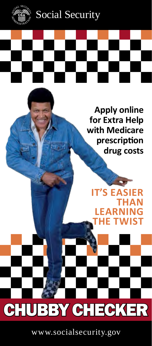

Social Security

**Apply online for Extra Help with Medicare prescription drug costs**

**IT'S EAS THAN LEARNING THE TWIST**

CHUBBY CHECKER

www.socialsecurity.gov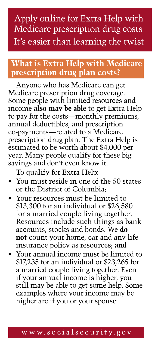## Apply online for Extra Help with Medicare prescription drug costs It's easier than learning the twist

### **What is Extra Help with Medicare prescription drug plan costs?**

Anyone who has Medicare can get Medicare prescription drug coverage. Some people with limited resources and income **also may be able** to get Extra Help to pay for the costs—monthly premiums, annual deductibles, and prescription co-payments—related to a Medicare prescription drug plan. The Extra Help is estimated to be worth about \$4,000 per year. Many people qualify for these big savings and don't even know it.

To qualify for Extra Help:

- You must reside in one of the 50 states or the District of Columbia;
- Your resources must be limited to \$13,300 for an individual or \$26,580 for a married couple living together. Resources include such things as bank accounts, stocks and bonds. We **do not** count your home, car and any life insurance policy as resources; **and**
- Your annual income must be limited to \$17,235 for an individual or \$23,265 for a married couple living together. Even if your annual income is higher, you still may be able to get some help. Some examples where your income may be higher are if you or your spouse: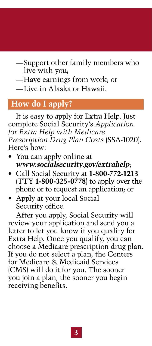- —Support other family members who live with you;
- —Have earnings from work; or
- —Live in Alaska or Hawaii.

### **How do I apply?**

It is easy to apply for Extra Help. Just complete Social Security's *Application [for Extra Help with Medicare](https://secure.ssa.gov/i1020/start) Prescription Drug Plan Costs* (SSA-1020). Here's how:

- You can apply online at *[www.socialsecurity.gov/extrahelp](http://www.socialsecurity.gov/extrahelp)*;
- Call Social Security at **1-800-772-1213** (TTY **1-800-325-0778**) to apply over the phone or to request an application; or
- Apply at your local Social Security office.

After you apply, Social Security will review your application and send you a letter to let you know if you qualify for Extra Help. Once you qualify, you can choose a Medicare prescription drug plan. If you do not select a plan, the Centers for Medicare & Medicaid Services (CMS) will do it for you. The sooner you join a plan, the sooner you begin receiving benefits.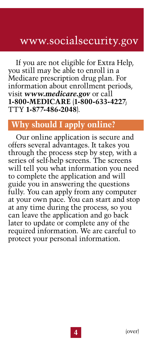# www.socialsecurity.gov

If you are not eligible for Extra Help, you still may be able to enroll in a Medicare prescription drug plan. For information about enrollment periods, visit *[www.medicare.gov](http://www.medicare.gov)* or call **1-800-MEDICARE** (**1-800-633-4227**; TTY **1-877-486-2048**).

### **Why should I apply online?**

Our online application is secure and offers several advantages. It takes you through the process step by step, with a series of self-help screens. The screens will tell you what information you need to complete the application and will guide you in answering the questions fully. You can apply from any computer at your own pace. You can start and stop at any time during the process, so you can leave the application and go back later to update or complete any of the required information. We are careful to protect your personal information.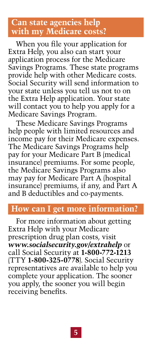### **Can state agencies help with my Medicare costs?**

When you file your application for Extra Help, you also can start your application process for the Medicare Savings Programs. These state programs provide help with other Medicare costs. Social Security will send information to your state unless you tell us not to on the Extra Help application. Your state will contact you to help you apply for a Medicare Savings Program.

These Medicare Savings Programs help people with limited resources and income pay for their Medicare expenses. The Medicare Savings Programs help pay for your Medicare Part B (medical insurance) premiums. For some people, the Medicare Savings Programs also may pay for Medicare Part A (hospital insurance) premiums, if any, and Part A and B deductibles and co-payments.

#### **How can I get more information?**

For more information about getting Extra Help with your Medicare prescription drug plan costs, visit *[www.socialsecurity.gov/extrahelp](http://www.socialsecurity.gov/extrahelp)* or call Social Security at **1-800-772-1213** (TTY **1-800-325-0778**). Social Security representatives are available to help you complete your application. The sooner you apply, the sooner you will begin receiving benefits.